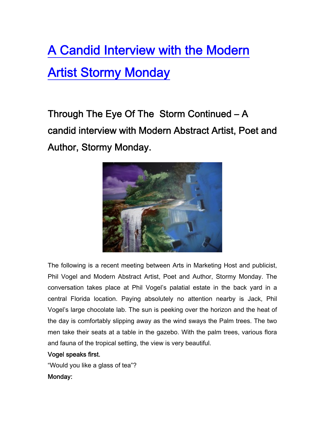# [A Candid Interview with the Modern](http://artsinmarketing.com/press-publicity/a-candid-interview-with-the-modern-artist-stormy-monday/)  [Artist Stormy Monday](http://artsinmarketing.com/press-publicity/a-candid-interview-with-the-modern-artist-stormy-monday/)

Through The Eye Of The Storm Continued – A candid interview with Modern Abstract Artist, Poet and Author, Stormy Monday.



The following is a recent meeting between Arts in Marketing Host and publicist, Phil Vogel and Modern Abstract Artist, Poet and Author, Stormy Monday. The conversation takes place at Phil Vogel's palatial estate in the back yard in a central Florida location. Paying absolutely no attention nearby is Jack, Phil Vogel's large chocolate lab. The sun is peeking over the horizon and the heat of the day is comfortably slipping away as the wind sways the Palm trees. The two men take their seats at a table in the gazebo. With the palm trees, various flora and fauna of the tropical setting, the view is very beautiful.

# Vogel speaks first.

"Would you like a glass of tea"? Monday: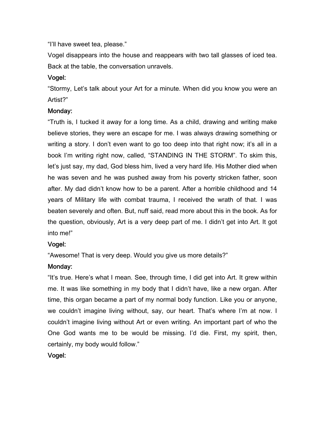"I'll have sweet tea, please."

Vogel disappears into the house and reappears with two tall glasses of iced tea. Back at the table, the conversation unravels.

### Vogel:

"Stormy, Let's talk about your Art for a minute. When did you know you were an Artist?"

### Monday:

"Truth is, I tucked it away for a long time. As a child, drawing and writing make believe stories, they were an escape for me. I was always drawing something or writing a story. I don't even want to go too deep into that right now; it's all in a book I'm writing right now, called, "STANDING IN THE STORM". To skim this, let's just say, my dad, God bless him, lived a very hard life. His Mother died when he was seven and he was pushed away from his poverty stricken father, soon after. My dad didn't know how to be a parent. After a horrible childhood and 14 years of Military life with combat trauma, I received the wrath of that. I was beaten severely and often. But, nuff said, read more about this in the book. As for the question, obviously, Art is a very deep part of me. I didn't get into Art. It got into me!"

### Vogel:

"Awesome! That is very deep. Would you give us more details?"

### Monday:

"It's true. Here's what I mean. See, through time, I did get into Art. It grew within me. It was like something in my body that I didn't have, like a new organ. After time, this organ became a part of my normal body function. Like you or anyone, we couldn't imagine living without, say, our heart. That's where I'm at now. I couldn't imagine living without Art or even writing. An important part of who the One God wants me to be would be missing. I'd die. First, my spirit, then, certainly, my body would follow."

### Vogel: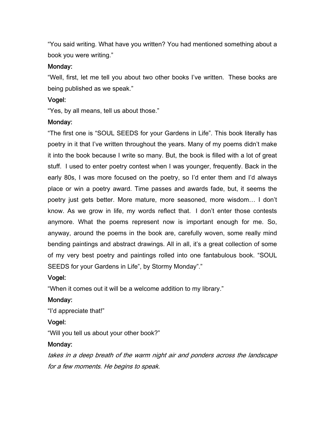"You said writing. What have you written? You had mentioned something about a book you were writing."

### Monday:

"Well, first, let me tell you about two other books I've written. These books are being published as we speak."

### Vogel:

"Yes, by all means, tell us about those."

### Monday:

"The first one is "SOUL SEEDS for your Gardens in Life". This book literally has poetry in it that I've written throughout the years. Many of my poems didn't make it into the book because I write so many. But, the book is filled with a lot of great stuff. I used to enter poetry contest when I was younger, frequently. Back in the early 80s, I was more focused on the poetry, so I'd enter them and I'd always place or win a poetry award. Time passes and awards fade, but, it seems the poetry just gets better. More mature, more seasoned, more wisdom… I don't know. As we grow in life, my words reflect that. I don't enter those contests anymore. What the poems represent now is important enough for me. So, anyway, around the poems in the book are, carefully woven, some really mind bending paintings and abstract drawings. All in all, it's a great collection of some of my very best poetry and paintings rolled into one fantabulous book. "SOUL SEEDS for your Gardens in Life", by Stormy Monday"."

### Vogel:

"When it comes out it will be a welcome addition to my library."

### Monday:

"I'd appreciate that!"

### Vogel:

"Will you tell us about your other book?"

### Monday:

takes in a deep breath of the warm night air and ponders across the landscape for a few moments. He begins to speak.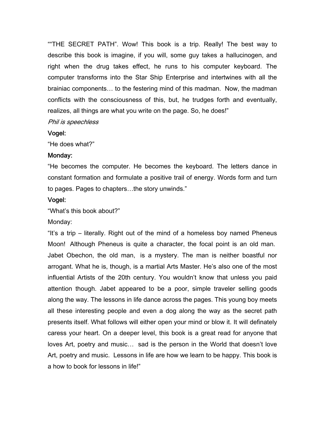""THE SECRET PATH". Wow! This book is a trip. Really! The best way to describe this book is imagine, if you will, some guy takes a hallucinogen, and right when the drug takes effect, he runs to his computer keyboard. The computer transforms into the Star Ship Enterprise and intertwines with all the brainiac components… to the festering mind of this madman. Now, the madman conflicts with the consciousness of this, but, he trudges forth and eventually, realizes, all things are what you write on the page. So, he does!"

### Phil is speechless

### Vogel:

"He does what?"

### Monday:

"He becomes the computer. He becomes the keyboard. The letters dance in constant formation and formulate a positive trail of energy. Words form and turn to pages. Pages to chapters…the story unwinds."

### Vogel:

"What's this book about?"

### Monday:

"It's a trip – literally. Right out of the mind of a homeless boy named Pheneus Moon! Although Pheneus is quite a character, the focal point is an old man. Jabet Obechon, the old man, is a mystery. The man is neither boastful nor arrogant. What he is, though, is a martial Arts Master. He's also one of the most influential Artists of the 20th century. You wouldn't know that unless you paid attention though. Jabet appeared to be a poor, simple traveler selling goods along the way. The lessons in life dance across the pages. This young boy meets all these interesting people and even a dog along the way as the secret path presents itself. What follows will either open your mind or blow it. It will definately caress your heart. On a deeper level, this book is a great read for anyone that loves Art, poetry and music… sad is the person in the World that doesn't love Art, poetry and music. Lessons in life are how we learn to be happy. This book is a how to book for lessons in life!"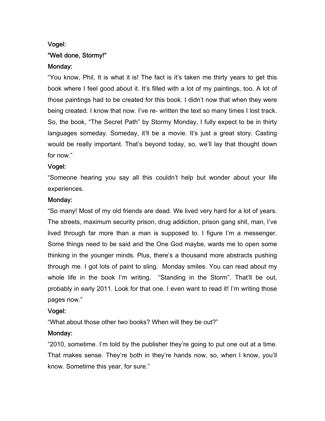# Vogel: "Well done, Stormy!" Monday:

"You know, Phil, It is what it is! The fact is it's taken me thirty years to get this book where I feel good about it. It's filled with a lot of my paintings, too. A lot of those paintings had to be created for this book. I didn't now that when they were being created. I know that now. I've re- written the text so many times I lost track. So, the book, "The Secret Path" by Stormy Monday, I fully expect to be in thirty languages someday. Someday, it'll be a movie. It's just a great story. Casting would be really important. That's beyond today, so, we'll lay that thought down for now."

### Vogel:

"Someone hearing you say all this couldn't help but wonder about your life experiences.

### Monday:

"So many! Most of my old friends are dead. We lived very hard for a lot of years. The streets, maximum security prison, drug addiction, prison gang shit, man, I've lived through far more than a man is supposed to. I figure I'm a messenger. Some things need to be said and the One God maybe, wants me to open some thinking in the younger minds. Plus, there's a thousand more abstracts pushing through me. I got lots of paint to sling. Monday smiles. You can read about my whole life in the book I'm writing, "Standing in the Storm". That'll be out, probably in early 2011. Look for that one. I even want to read it! I'm writing those pages now."

### Vogel:

"What about those other two books? When will they be out?"

### Monday:

"2010, sometime. I'm told by the publisher they're going to put one out at a time. That makes sense. They're both in they're hands now, so, when I know, you'll know. Sometime this year, for sure."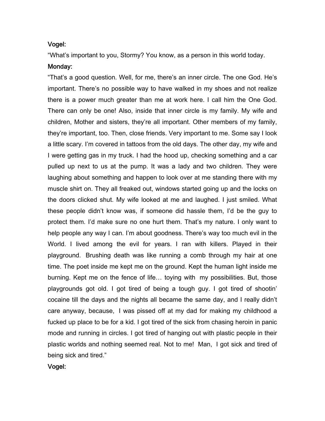### Vogel:

"What's important to you, Stormy? You know, as a person in this world today.

### Monday:

"That's a good question. Well, for me, there's an inner circle. The one God. He's important. There's no possible way to have walked in my shoes and not realize there is a power much greater than me at work here. I call him the One God. There can only be one! Also, inside that inner circle is my family. My wife and children, Mother and sisters, they're all important. Other members of my family, they're important, too. Then, close friends. Very important to me. Some say I look a little scary. I'm covered in tattoos from the old days. The other day, my wife and I were getting gas in my truck. I had the hood up, checking something and a car pulled up next to us at the pump. It was a lady and two children. They were laughing about something and happen to look over at me standing there with my muscle shirt on. They all freaked out, windows started going up and the locks on the doors clicked shut. My wife looked at me and laughed. I just smiled. What these people didn't know was, if someone did hassle them, I'd be the guy to protect them. I'd make sure no one hurt them. That's my nature. I only want to help people any way I can. I'm about goodness. There's way too much evil in the World. I lived among the evil for years. I ran with killers. Played in their playground. Brushing death was like running a comb through my hair at one time. The poet inside me kept me on the ground. Kept the human light inside me burning. Kept me on the fence of life… toying with my possibilities. But, those playgrounds got old. I got tired of being a tough guy. I got tired of shootin' cocaine till the days and the nights all became the same day, and I really didn't care anyway, because, I was pissed off at my dad for making my childhood a fucked up place to be for a kid. I got tired of the sick from chasing heroin in panic mode and running in circles. I got tired of hanging out with plastic people in their plastic worlds and nothing seemed real. Not to me! Man, I got sick and tired of being sick and tired."

Vogel: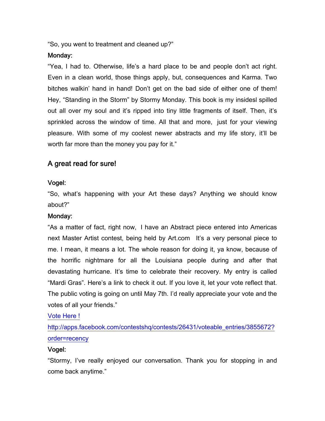"So, you went to treatment and cleaned up?"

### Monday:

"Yea, I had to. Otherwise, life's a hard place to be and people don't act right. Even in a clean world, those things apply, but, consequences and Karma. Two bitches walkin' hand in hand! Don't get on the bad side of either one of them! Hey, "Standing in the Storm" by Stormy Monday. This book is my insidesl spilled out all over my soul and it's ripped into tiny little fragments of itself. Then, it's sprinkled across the window of time. All that and more, just for your viewing pleasure. With some of my coolest newer abstracts and my life story, it'll be worth far more than the money you pay for it."

# A great read for sure!

### Vogel:

"So, what's happening with your Art these days? Anything we should know about?"

### Monday:

"As a matter of fact, right now, I have an Abstract piece entered into Americas next Master Artist contest, being held by Art.com It's a very personal piece to me. I mean, it means a lot. The whole reason for doing it, ya know, because of the horrific nightmare for all the Louisiana people during and after that devastating hurricane. It's time to celebrate their recovery. My entry is called "Mardi Gras". Here's a link to check it out. If you love it, let your vote reflect that. The public voting is going on until May 7th. I'd really appreciate your vote and the votes of all your friends."

[Vote Here !](http://apps.facebook.com/contestshq/contests/26431/voteable_entries/3855672?order=recency)

[http://apps.facebook.com/contestshq/contests/26431/voteable\\_entries/3855672?](http://apps.facebook.com/contestshq/contests/26431/voteable_entries/3855672?order=recency) [order=recency](http://apps.facebook.com/contestshq/contests/26431/voteable_entries/3855672?order=recency)

### Vogel:

"Stormy, I've really enjoyed our conversation. Thank you for stopping in and come back anytime."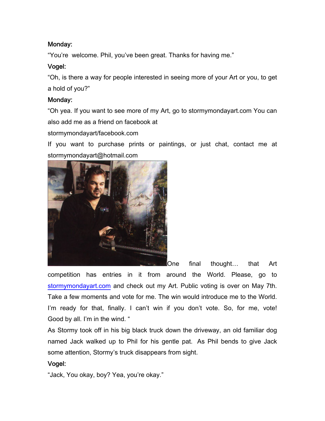# Monday:

"You're welcome. Phil, you've been great. Thanks for having me."

# Vogel:

"Oh, is there a way for people interested in seeing more of your Art or you, to get a hold of you?"

### Monday:

"Oh yea. If you want to see more of my Art, go to stormymondayart.com You can also add me as a friend on facebook at

stormymondayart/facebook.com

If you want to purchase prints or paintings, or just chat, contact me at stormymondayart@hotmail.com



One final thought… that Art

competition has entries in it from around the World. Please, go t[o](http://www.stormymondayart.com/) [stormymondayart.com](http://www.stormymondayart.com/) and check out my Art. Public voting is over on May 7th. Take a few moments and vote for me. The win would introduce me to the World. I'm ready for that, finally. I can't win if you don't vote. So, for me, vote! Good by all. I'm in the wind. "

As Stormy took off in his big black truck down the driveway, an old familiar dog named Jack walked up to Phil for his gentle pat. As Phil bends to give Jack some attention, Stormy's truck disappears from sight.

# Vogel:

"Jack, You okay, boy? Yea, you're okay."